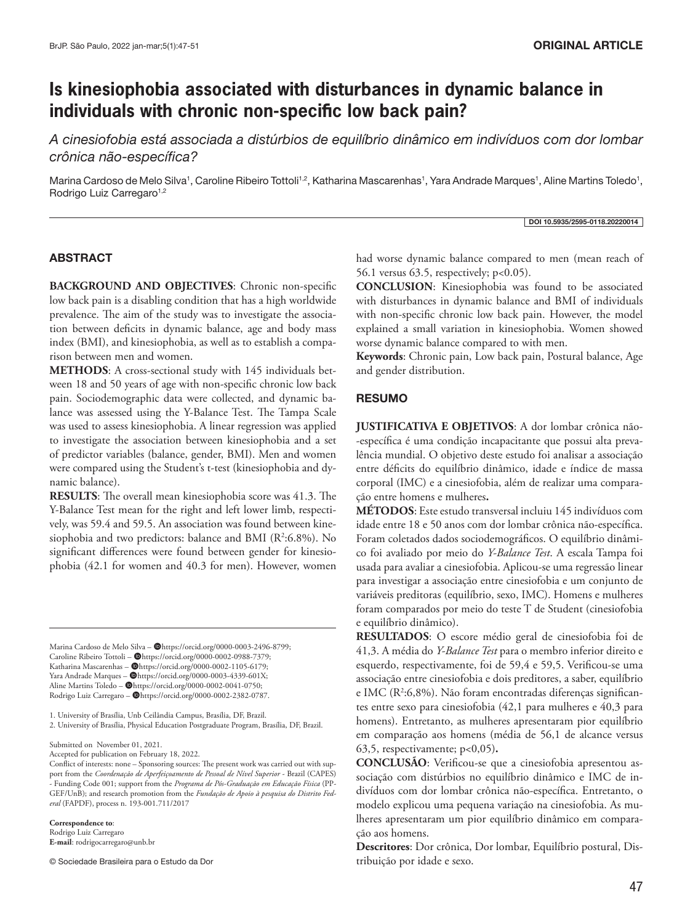# **Is kinesiophobia associated with disturbances in dynamic balance in individuals with chronic non-specific low back pain?**

*A cinesiofobia está associada a distúrbios de equilíbrio dinâmico em indivíduos com dor lombar crônica não-específica?*

Marina Cardoso de Melo Silva1, Caroline Ribeiro Tottoli1<sup>,2</sup>, Katharina Mascarenhas1, Yara Andrade Marques1, Aline Martins Toledo1, Rodrigo Luiz Carregaro<sup>1,2</sup>

DOI 10.5935/2595-0118.20220014

## ABSTRACT

**BACKGROUND AND OBJECTIVES**: Chronic non-specific low back pain is a disabling condition that has a high worldwide prevalence. The aim of the study was to investigate the association between deficits in dynamic balance, age and body mass index (BMI), and kinesiophobia, as well as to establish a comparison between men and women.

**METHODS**: A cross-sectional study with 145 individuals between 18 and 50 years of age with non-specific chronic low back pain. Sociodemographic data were collected, and dynamic balance was assessed using the Y-Balance Test. The Tampa Scale was used to assess kinesiophobia. A linear regression was applied to investigate the association between kinesiophobia and a set of predictor variables (balance, gender, BMI). Men and women were compared using the Student's t-test (kinesiophobia and dynamic balance).

**RESULTS**: The overall mean kinesiophobia score was 41.3. The Y-Balance Test mean for the right and left lower limb, respectively, was 59.4 and 59.5. An association was found between kinesiophobia and two predictors: balance and BMI (R2 :6.8%). No significant differences were found between gender for kinesiophobia (42.1 for women and 40.3 for men). However, women

Marina Cardoso de Melo Silva - @https://orcid.org/0000-0003-2496-8799; Caroline Ribeiro Tottoli - @https://orcid.org/0000-0002-0988-7379; Katharina Mascarenhas - @https://orcid.org/0000-0002-1105-6179; Yara Andrade Marques - @https://orcid.org/0000-0003-4339-601X; Aline Martins Toledo –  $\bigcirc$ https://orcid.org/0000-0002-0041-0750; Rodrigo Luiz Carregaro - @https://orcid.org/0000-0002-2382-0787.

1. University of Brasília, Unb Ceilândia Campus, Brasília, DF, Brazil.

2. University of Brasília, Physical Education Postgraduate Program, Brasília, DF, Brazil.

Submitted on November 01, 2021.

Accepted for publication on February 18, 2022.

**Correspondence to**:

Rodrigo Luiz Carregaro **E-mail**: rodrigocarregaro@unb.br

© Sociedade Brasileira para o Estudo da Dor

had worse dynamic balance compared to men (mean reach of 56.1 versus 63.5, respectively; p<0.05).

**CONCLUSION**: Kinesiophobia was found to be associated with disturbances in dynamic balance and BMI of individuals with non-specific chronic low back pain. However, the model explained a small variation in kinesiophobia. Women showed worse dynamic balance compared to with men.

**Keywords**: Chronic pain, Low back pain, Postural balance, Age and gender distribution.

## **RESUMO**

**JUSTIFICATIVA E OBJETIVOS**: A dor lombar crônica não- -específica é uma condição incapacitante que possui alta prevalência mundial. O objetivo deste estudo foi analisar a associação entre déficits do equilíbrio dinâmico, idade e índice de massa corporal (IMC) e a cinesiofobia, além de realizar uma comparação entre homens e mulheres**.** 

**MÉTODOS**: Este estudo transversal incluiu 145 indivíduos com idade entre 18 e 50 anos com dor lombar crônica não-específica. Foram coletados dados sociodemográficos. O equilíbrio dinâmico foi avaliado por meio do *Y-Balance Test*. A escala Tampa foi usada para avaliar a cinesiofobia. Aplicou-se uma regressão linear para investigar a associação entre cinesiofobia e um conjunto de variáveis preditoras (equilíbrio, sexo, IMC). Homens e mulheres foram comparados por meio do teste T de Student (cinesiofobia e equilíbrio dinâmico).

**RESULTADOS**: O escore médio geral de cinesiofobia foi de 41,3. A média do *Y-Balance Test* para o membro inferior direito e esquerdo, respectivamente, foi de 59,4 e 59,5. Verificou-se uma associação entre cinesiofobia e dois preditores, a saber, equilíbrio e IMC (R<sup>2</sup>:6,8%). Não foram encontradas diferenças significantes entre sexo para cinesiofobia (42,1 para mulheres e 40,3 para homens). Entretanto, as mulheres apresentaram pior equilíbrio em comparação aos homens (média de 56,1 de alcance versus 63,5, respectivamente; p<0,05)**.** 

**CONCLUSÃO**: Verificou-se que a cinesiofobia apresentou associação com distúrbios no equilíbrio dinâmico e IMC de indivíduos com dor lombar crônica não-específica. Entretanto, o modelo explicou uma pequena variação na cinesiofobia. As mulheres apresentaram um pior equilíbrio dinâmico em comparação aos homens.

**Descritores**: Dor crônica, Dor lombar, Equilíbrio postural, Distribuição por idade e sexo.

Conflict of interests: none – Sponsoring sources: The present work was carried out with support from the *Coordenação de Aperfeiçoamento de Pessoal de Nível Superior* - Brazil (CAPES) - Funding Code 001; support from the *Programa de Pós-Graduação em Educação Física* (PP-GEF/UnB); and research promotion from the *Fundação de Apoio à pesquisa do Distrito Federal* (FAPDF), process n. 193-001.711/2017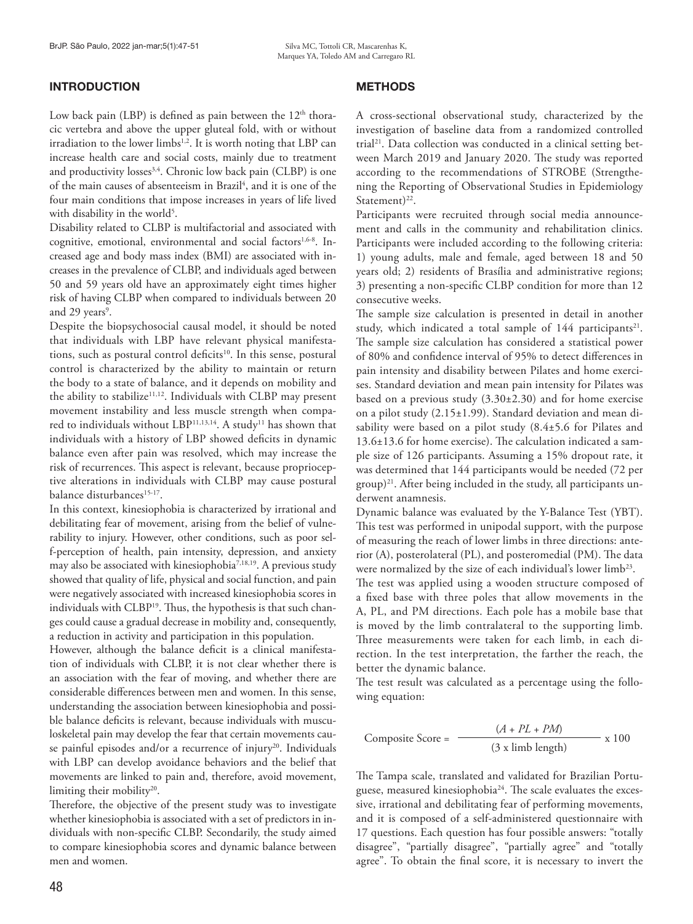# **INTRODUCTION**

Low back pain (LBP) is defined as pain between the  $12<sup>th</sup>$  thoracic vertebra and above the upper gluteal fold, with or without irradiation to the lower limbs<sup>1,2</sup>. It is worth noting that LBP can increase health care and social costs, mainly due to treatment and productivity losses<sup>3,4</sup>. Chronic low back pain (CLBP) is one of the main causes of absenteeism in Brazil<sup>4</sup>, and it is one of the four main conditions that impose increases in years of life lived with disability in the world<sup>5</sup>.

Disability related to CLBP is multifactorial and associated with cognitive, emotional, environmental and social factors<sup>1,6-8</sup>. Increased age and body mass index (BMI) are associated with increases in the prevalence of CLBP, and individuals aged between 50 and 59 years old have an approximately eight times higher risk of having CLBP when compared to individuals between 20 and 29 years<sup>9</sup>.

Despite the biopsychosocial causal model, it should be noted that individuals with LBP have relevant physical manifestations, such as postural control deficits<sup>10</sup>. In this sense, postural control is characterized by the ability to maintain or return the body to a state of balance, and it depends on mobility and the ability to stabilize<sup>11,12</sup>. Individuals with CLBP may present movement instability and less muscle strength when compared to individuals without LBP<sup>11,13,14</sup>. A study<sup>11</sup> has shown that individuals with a history of LBP showed deficits in dynamic balance even after pain was resolved, which may increase the risk of recurrences. This aspect is relevant, because proprioceptive alterations in individuals with CLBP may cause postural balance disturbances<sup>15-17</sup>.

In this context, kinesiophobia is characterized by irrational and debilitating fear of movement, arising from the belief of vulnerability to injury. However, other conditions, such as poor self-perception of health, pain intensity, depression, and anxiety may also be associated with kinesiophobia<sup>7,18,19</sup>. A previous study showed that quality of life, physical and social function, and pain were negatively associated with increased kinesiophobia scores in individuals with CLBP<sup>19</sup>. Thus, the hypothesis is that such changes could cause a gradual decrease in mobility and, consequently, a reduction in activity and participation in this population.

However, although the balance deficit is a clinical manifestation of individuals with CLBP, it is not clear whether there is an association with the fear of moving, and whether there are considerable differences between men and women. In this sense, understanding the association between kinesiophobia and possible balance deficits is relevant, because individuals with musculoskeletal pain may develop the fear that certain movements cause painful episodes and/or a recurrence of injury<sup>20</sup>. Individuals with LBP can develop avoidance behaviors and the belief that movements are linked to pain and, therefore, avoid movement, limiting their mobility<sup>20</sup>.

Therefore, the objective of the present study was to investigate whether kinesiophobia is associated with a set of predictors in individuals with non-specific CLBP. Secondarily, the study aimed to compare kinesiophobia scores and dynamic balance between men and women.

A cross-sectional observational study, characterized by the investigation of baseline data from a randomized controlled trial<sup>21</sup>. Data collection was conducted in a clinical setting between March 2019 and January 2020. The study was reported according to the recommendations of STROBE (Strengthening the Reporting of Observational Studies in Epidemiology Statement $)^{22}$ .

Participants were recruited through social media announcement and calls in the community and rehabilitation clinics. Participants were included according to the following criteria: 1) young adults, male and female, aged between 18 and 50 years old; 2) residents of Brasília and administrative regions; 3) presenting a non-specific CLBP condition for more than 12 consecutive weeks.

The sample size calculation is presented in detail in another study, which indicated a total sample of 144 participants<sup>21</sup>. The sample size calculation has considered a statistical power of 80% and confidence interval of 95% to detect differences in pain intensity and disability between Pilates and home exercises. Standard deviation and mean pain intensity for Pilates was based on a previous study (3.30±2.30) and for home exercise on a pilot study (2.15±1.99). Standard deviation and mean disability were based on a pilot study (8.4±5.6 for Pilates and 13.6±13.6 for home exercise). The calculation indicated a sample size of 126 participants. Assuming a 15% dropout rate, it was determined that 144 participants would be needed (72 per group)21. After being included in the study, all participants underwent anamnesis.

Dynamic balance was evaluated by the Y-Balance Test (YBT). This test was performed in unipodal support, with the purpose of measuring the reach of lower limbs in three directions: anterior (A), posterolateral (PL), and posteromedial (PM). The data were normalized by the size of each individual's lower limb<sup>23</sup>.

The test was applied using a wooden structure composed of a fixed base with three poles that allow movements in the A, PL, and PM directions. Each pole has a mobile base that is moved by the limb contralateral to the supporting limb. Three measurements were taken for each limb, in each direction. In the test interpretation, the farther the reach, the better the dynamic balance.

The test result was calculated as a percentage using the following equation:

Composite Score = 
$$
\frac{(A + PL + PM)}{(3 \times l l m \text{ length})} \times 100
$$

The Tampa scale, translated and validated for Brazilian Portuguese, measured kinesiophobia<sup>24</sup>. The scale evaluates the excessive, irrational and debilitating fear of performing movements, and it is composed of a self-administered questionnaire with 17 questions. Each question has four possible answers: "totally disagree", "partially disagree", "partially agree" and "totally agree". To obtain the final score, it is necessary to invert the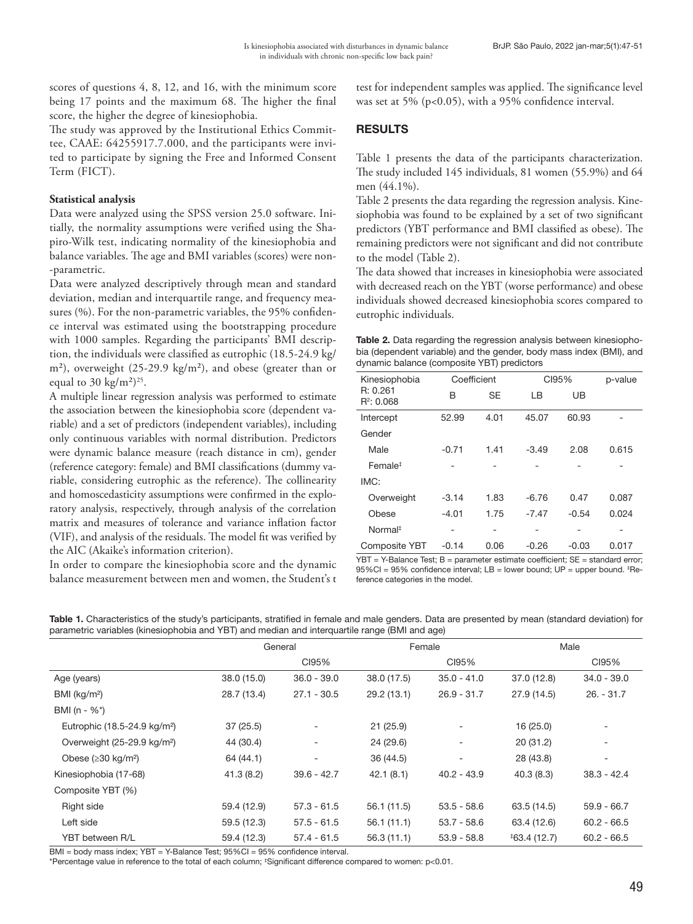scores of questions 4, 8, 12, and 16, with the minimum score being 17 points and the maximum 68. The higher the final score, the higher the degree of kinesiophobia.

The study was approved by the Institutional Ethics Committee, CAAE: 64255917.7.000, and the participants were invited to participate by signing the Free and Informed Consent Term (FICT).

## **Statistical analysis**

Data were analyzed using the SPSS version 25.0 software. Initially, the normality assumptions were verified using the Shapiro-Wilk test, indicating normality of the kinesiophobia and balance variables. The age and BMI variables (scores) were non- -parametric.

Data were analyzed descriptively through mean and standard deviation, median and interquartile range, and frequency measures (%). For the non-parametric variables, the 95% confidence interval was estimated using the bootstrapping procedure with 1000 samples. Regarding the participants' BMI description, the individuals were classified as eutrophic (18.5-24.9 kg/ m²), overweight (25-29.9 kg/m²), and obese (greater than or equal to 30 kg/m<sup>2</sup>)<sup>25</sup>.

A multiple linear regression analysis was performed to estimate the association between the kinesiophobia score (dependent variable) and a set of predictors (independent variables), including only continuous variables with normal distribution. Predictors were dynamic balance measure (reach distance in cm), gender (reference category: female) and BMI classifications (dummy variable, considering eutrophic as the reference). The collinearity and homoscedasticity assumptions were confirmed in the exploratory analysis, respectively, through analysis of the correlation matrix and measures of tolerance and variance inflation factor (VIF), and analysis of the residuals. The model fit was verified by the AIC (Akaike's information criterion).

In order to compare the kinesiophobia score and the dynamic balance measurement between men and women, the Student's t test for independent samples was applied. The significance level was set at 5% ( $p<0.05$ ), with a 95% confidence interval.

# RESULTS

Table 1 presents the data of the participants characterization. The study included 145 individuals, 81 women (55.9%) and 64 men (44.1%).

Table 2 presents the data regarding the regression analysis. Kinesiophobia was found to be explained by a set of two significant predictors (YBT performance and BMI classified as obese). The remaining predictors were not significant and did not contribute to the model (Table 2).

The data showed that increases in kinesiophobia were associated with decreased reach on the YBT (worse performance) and obese individuals showed decreased kinesiophobia scores compared to eutrophic individuals.

| <b>Table 2.</b> Data regarding the regression analysis between kinesiopho- |
|----------------------------------------------------------------------------|
| bia (dependent variable) and the gender, body mass index (BMI), and        |
| dynamic balance (composite YBT) predictors                                 |

| Kinesiophobia             | Coefficient |           | CI95%   | p-value |       |
|---------------------------|-------------|-----------|---------|---------|-------|
| R: 0.261<br>$R^2$ : 0.068 | B           | <b>SE</b> | I B     | UB      |       |
| Intercept                 | 52.99       | 4.01      | 45.07   | 60.93   |       |
| Gender                    |             |           |         |         |       |
| Male                      | $-0.71$     | 1.41      | $-3.49$ | 2.08    | 0.615 |
| Female <sup>#</sup>       |             |           |         |         |       |
| IMC:                      |             |           |         |         |       |
| Overweight                | $-3.14$     | 1.83      | $-6.76$ | 0.47    | 0.087 |
| Obese                     | $-4.01$     | 1.75      | $-7.47$ | $-0.54$ | 0.024 |
| Normal <sup>‡</sup>       |             |           |         |         |       |
| <b>Composite YBT</b>      | $-0.14$     | 0.06      | $-0.26$ | $-0.03$ | 0.017 |

YBT = Y-Balance Test; B = parameter estimate coefficient; SE = standard error;  $95\%$ CI = 95% confidence interval; LB = lower bound; UP = upper bound.  ${}^{4}$ Reference categories in the model.

Table 1. Characteristics of the study's participants, stratified in female and male genders. Data are presented by mean (standard deviation) for parametric variables (kinesiophobia and YBT) and median and interquartile range (BMI and age)

|                                          |             | General                  |             | Female        |               | Male          |  |
|------------------------------------------|-------------|--------------------------|-------------|---------------|---------------|---------------|--|
|                                          |             | CI95%                    |             | CI95%         |               | CI95%         |  |
| Age (years)                              | 38.0(15.0)  | $36.0 - 39.0$            | 38.0 (17.5) | $35.0 - 41.0$ | 37.0 (12.8)   | $34.0 - 39.0$ |  |
| BMI (kg/m <sup>2</sup> )                 | 28.7 (13.4) | $27.1 - 30.5$            | 29.2(13.1)  | $26.9 - 31.7$ | 27.9 (14.5)   | $26. - 31.7$  |  |
| BMI (n - $%^*$ )                         |             |                          |             |               |               |               |  |
| Eutrophic (18.5-24.9 kg/m <sup>2</sup> ) | 37(25.5)    | $\overline{\phantom{a}}$ | 21(25.9)    |               | 16(25.0)      |               |  |
| Overweight (25-29.9 kg/m <sup>2</sup> )  | 44 (30.4)   | ۰                        | 24 (29.6)   |               | 20(31.2)      | -             |  |
| Obese ( $\geq$ 30 kg/m <sup>2</sup> )    | 64 (44.1)   | $\overline{\phantom{a}}$ | 36 (44.5)   |               | 28 (43.8)     |               |  |
| Kinesiophobia (17-68)                    | 41.3(8.2)   | $39.6 - 42.7$            | 42.1(8.1)   | $40.2 - 43.9$ | 40.3(8.3)     | $38.3 - 42.4$ |  |
| Composite YBT (%)                        |             |                          |             |               |               |               |  |
| Right side                               | 59.4 (12.9) | $57.3 - 61.5$            | 56.1 (11.5) | $53.5 - 58.6$ | 63.5 (14.5)   | $59.9 - 66.7$ |  |
| Left side                                | 59.5 (12.3) | $57.5 - 61.5$            | 56.1(11.1)  | $53.7 - 58.6$ | 63.4 (12.6)   | $60.2 - 66.5$ |  |
| YBT between R/L                          | 59.4 (12.3) | $57.4 - 61.5$            | 56.3(11.1)  | $53.9 - 58.8$ | $*63.4(12.7)$ | $60.2 - 66.5$ |  |

BMI = body mass index; YBT = Y-Balance Test; 95%CI = 95% confidence interval.

\*Percentage value in reference to the total of each column; ‡ Significant difference compared to women: p<0.01.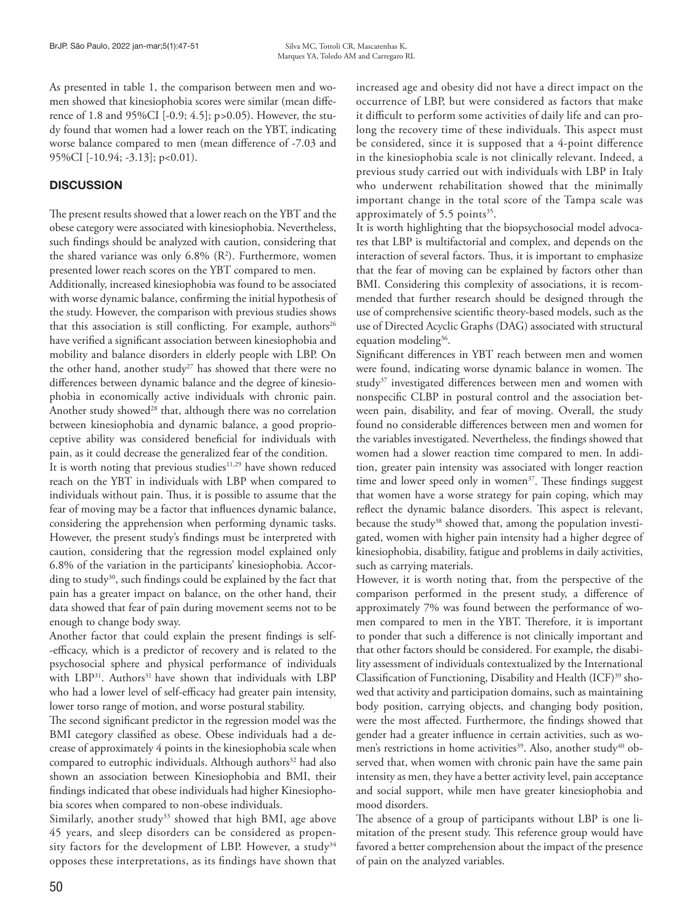As presented in table 1, the comparison between men and women showed that kinesiophobia scores were similar (mean difference of 1.8 and 95%CI [-0.9; 4.5]; p*>*0.05). However, the study found that women had a lower reach on the YBT, indicating worse balance compared to men (mean difference of -7.03 and 95%CI [-10.94; -3.13]; p<0.01).

# **DISCUSSION**

The present results showed that a lower reach on the YBT and the obese category were associated with kinesiophobia. Nevertheless, such findings should be analyzed with caution, considering that the shared variance was only  $6.8\%$  ( $\mathbb{R}^2$ ). Furthermore, women presented lower reach scores on the YBT compared to men.

Additionally, increased kinesiophobia was found to be associated with worse dynamic balance, confirming the initial hypothesis of the study. However, the comparison with previous studies shows that this association is still conflicting. For example, authors<sup>26</sup> have verified a significant association between kinesiophobia and mobility and balance disorders in elderly people with LBP. On the other hand, another study<sup>27</sup> has showed that there were no differences between dynamic balance and the degree of kinesiophobia in economically active individuals with chronic pain. Another study showed<sup>28</sup> that, although there was no correlation between kinesiophobia and dynamic balance, a good proprioceptive ability was considered beneficial for individuals with pain, as it could decrease the generalized fear of the condition.

It is worth noting that previous studies<sup>11,29</sup> have shown reduced reach on the YBT in individuals with LBP when compared to individuals without pain. Thus, it is possible to assume that the fear of moving may be a factor that influences dynamic balance, considering the apprehension when performing dynamic tasks. However, the present study's findings must be interpreted with caution, considering that the regression model explained only 6.8% of the variation in the participants' kinesiophobia. According to study<sup>30</sup>, such findings could be explained by the fact that pain has a greater impact on balance, on the other hand, their data showed that fear of pain during movement seems not to be enough to change body sway.

Another factor that could explain the present findings is self- -efficacy, which is a predictor of recovery and is related to the psychosocial sphere and physical performance of individuals with LBP<sup>31</sup>. Authors<sup>31</sup> have shown that individuals with LBP who had a lower level of self-efficacy had greater pain intensity, lower torso range of motion, and worse postural stability.

The second significant predictor in the regression model was the BMI category classified as obese. Obese individuals had a decrease of approximately 4 points in the kinesiophobia scale when compared to eutrophic individuals. Although authors<sup>32</sup> had also shown an association between Kinesiophobia and BMI, their findings indicated that obese individuals had higher Kinesiophobia scores when compared to non-obese individuals.

Similarly, another study<sup>33</sup> showed that high BMI, age above 45 years, and sleep disorders can be considered as propensity factors for the development of LBP. However, a study<sup>34</sup> opposes these interpretations, as its findings have shown that

increased age and obesity did not have a direct impact on the occurrence of LBP, but were considered as factors that make it difficult to perform some activities of daily life and can prolong the recovery time of these individuals. This aspect must be considered, since it is supposed that a 4-point difference in the kinesiophobia scale is not clinically relevant. Indeed, a previous study carried out with individuals with LBP in Italy who underwent rehabilitation showed that the minimally important change in the total score of the Tampa scale was approximately of  $5.5$  points<sup>35</sup>.

It is worth highlighting that the biopsychosocial model advocates that LBP is multifactorial and complex, and depends on the interaction of several factors. Thus, it is important to emphasize that the fear of moving can be explained by factors other than BMI. Considering this complexity of associations, it is recommended that further research should be designed through the use of comprehensive scientific theory-based models, such as the use of Directed Acyclic Graphs (DAG) associated with structural equation modeling<sup>36</sup>.

Significant differences in YBT reach between men and women were found, indicating worse dynamic balance in women. The study<sup>37</sup> investigated differences between men and women with nonspecific CLBP in postural control and the association between pain, disability, and fear of moving. Overall, the study found no considerable differences between men and women for the variables investigated. Nevertheless, the findings showed that women had a slower reaction time compared to men. In addition, greater pain intensity was associated with longer reaction time and lower speed only in women<sup>37</sup>. These findings suggest that women have a worse strategy for pain coping, which may reflect the dynamic balance disorders. This aspect is relevant, because the study<sup>38</sup> showed that, among the population investigated, women with higher pain intensity had a higher degree of kinesiophobia, disability, fatigue and problems in daily activities, such as carrying materials.

However, it is worth noting that, from the perspective of the comparison performed in the present study, a difference of approximately 7% was found between the performance of women compared to men in the YBT. Therefore, it is important to ponder that such a difference is not clinically important and that other factors should be considered. For example, the disability assessment of individuals contextualized by the International Classification of Functioning, Disability and Health (ICF)<sup>39</sup> showed that activity and participation domains, such as maintaining body position, carrying objects, and changing body position, were the most affected. Furthermore, the findings showed that gender had a greater influence in certain activities, such as women's restrictions in home activities<sup>39</sup>. Also, another study<sup>40</sup> observed that, when women with chronic pain have the same pain intensity as men, they have a better activity level, pain acceptance and social support, while men have greater kinesiophobia and mood disorders.

The absence of a group of participants without LBP is one limitation of the present study. This reference group would have favored a better comprehension about the impact of the presence of pain on the analyzed variables.